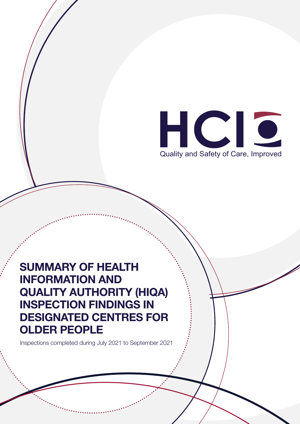HCIO Quality and Safety of Care, Improved

# SUMMARY OF HEALTH INFORMATION AND QUALITY AUTHORITY (HIQA) INSPECTION FINDINGS IN DESIGNATED CENTRES FOR OLDER PEOPLE

Inspections completed during July 2021 to September 2021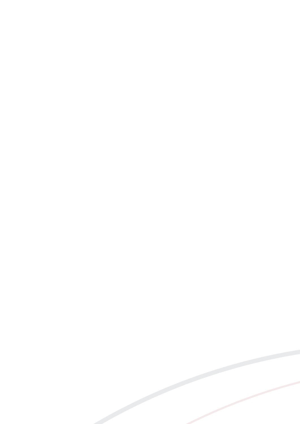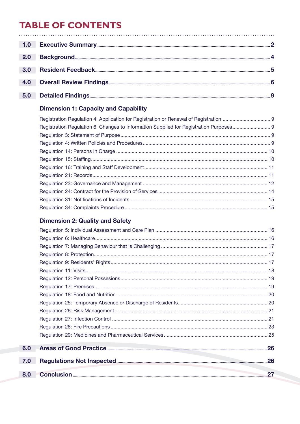# **TABLE OF CONTENTS**

| 2.0 |  |
|-----|--|
| 3.0 |  |
|     |  |
|     |  |
| 5.0 |  |

# **Dimension 1: Capacity and Capability**

# **Dimension 2: Quality and Safety**

| 8.0 | 27 |
|-----|----|
| 7.0 |    |
| 6.0 |    |
|     |    |
|     |    |
|     |    |
|     |    |
|     |    |
|     |    |
|     |    |
|     |    |
|     |    |
|     |    |
|     |    |
|     |    |
|     |    |
|     |    |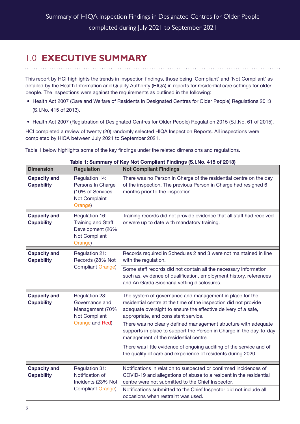# 1.0 **EXECUTIVE SUMMARY**

This report by HCI highlights the trends in inspection findings, those being 'Compliant' and 'Not Compliant' as detailed by the Health Information and Quality Authority (HIQA) in reports for residential care settings for older people. The inspections were against the requirements as outlined in the following:

- Health Act 2007 (Care and Welfare of Residents in Designated Centres for Older People) Regulations 2013 (S.I.No. 415 of 2013).
- Health Act 2007 (Registration of Designated Centres for Older People) Regulation 2015 (S.I.No. 61 of 2015).

HCI completed a review of twenty (20) randomly selected HIQA Inspection Reports. All inspections were completed by HIQA between July 2021 to September 2021.

Table 1 below highlights some of the key findings under the related dimensions and regulations.

| <b>Dimension</b>                         | <b>Regulation</b>                                                                    | <b>Not Compliant Findings</b>                                                                                                                                                                                                                                      |  |  |  |  |  |  |
|------------------------------------------|--------------------------------------------------------------------------------------|--------------------------------------------------------------------------------------------------------------------------------------------------------------------------------------------------------------------------------------------------------------------|--|--|--|--|--|--|
| <b>Capacity and</b><br><b>Capability</b> | Regulation 14:<br>Persons In Charge<br>(10% of Services<br>Not Complaint<br>Orange)  | There was no Person in Charge of the residential centre on the day<br>of the inspection. The previous Person in Charge had resigned 6<br>months prior to the inspection.                                                                                           |  |  |  |  |  |  |
| <b>Capacity and</b><br><b>Capability</b> | Regulation 16:<br>Training and Staff<br>Development (26%<br>Not Compliant<br>Orange) | Training records did not provide evidence that all staff had received<br>or were up to date with mandatory training.                                                                                                                                               |  |  |  |  |  |  |
| <b>Capacity and</b><br><b>Capability</b> | Regulation 21:<br>Records (28% Not                                                   | Records required in Schedules 2 and 3 were not maintained in line<br>with the regulation.                                                                                                                                                                          |  |  |  |  |  |  |
|                                          | <b>Compliant Orange)</b>                                                             | Some staff records did not contain all the necessary information<br>such as, evidence of qualification, employment history, references<br>and An Garda Siochana vetting disclosures.                                                                               |  |  |  |  |  |  |
| <b>Capacity and</b><br><b>Capability</b> | Regulation 23:<br>Governance and<br>Management (70%<br>Not Compliant                 | The system of governance and management in place for the<br>residential centre at the time of the inspection did not provide<br>adequate oversight to ensure the effective delivery of a safe,<br>appropriate, and consistent service.                             |  |  |  |  |  |  |
|                                          | Orange and Red)                                                                      | There was no clearly defined management structure with adequate<br>supports in place to support the Person in Charge in the day-to-day<br>management of the residential centre.                                                                                    |  |  |  |  |  |  |
|                                          |                                                                                      | There was little evidence of ongoing auditing of the service and of<br>the quality of care and experience of residents during 2020.                                                                                                                                |  |  |  |  |  |  |
| <b>Capacity and</b><br><b>Capability</b> | Regulation 31:<br>Notification of<br>Incidents (23% Not<br><b>Compliant Orange)</b>  | Notifications in relation to suspected or confirmed incidences of<br>COVID-19 and allegations of abuse to a resident in the residential<br>centre were not submitted to the Chief Inspector.<br>Notifications submitted to the Chief Inspector did not include all |  |  |  |  |  |  |
|                                          |                                                                                      | occasions when restraint was used.                                                                                                                                                                                                                                 |  |  |  |  |  |  |

Table 1: Summary of Key Not Compliant Findings (S.I.No. 415 of 2013)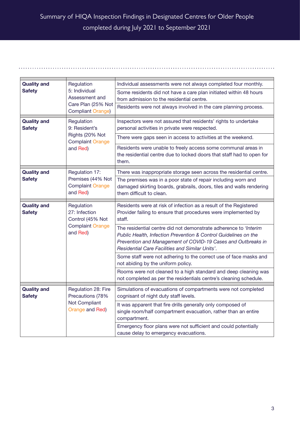| <b>Quality and</b>                  | Regulation                                               | Individual assessments were not always completed four monthly.                                                                                                                                                                                                |  |  |  |  |  |  |  |
|-------------------------------------|----------------------------------------------------------|---------------------------------------------------------------------------------------------------------------------------------------------------------------------------------------------------------------------------------------------------------------|--|--|--|--|--|--|--|
| <b>Safety</b>                       | 5: Individual                                            | Some residents did not have a care plan initiated within 48 hours                                                                                                                                                                                             |  |  |  |  |  |  |  |
|                                     | Assessment and                                           | from admission to the residential centre.                                                                                                                                                                                                                     |  |  |  |  |  |  |  |
|                                     | Care Plan (25% Not<br><b>Compliant Orange)</b>           | Residents were not always involved in the care planning process.                                                                                                                                                                                              |  |  |  |  |  |  |  |
| <b>Quality and</b>                  | Regulation                                               | Inspectors were not assured that residents' rights to undertake                                                                                                                                                                                               |  |  |  |  |  |  |  |
| <b>Safety</b>                       | 9: Resident's                                            | personal activities in private were respected.                                                                                                                                                                                                                |  |  |  |  |  |  |  |
|                                     | Rights (20% Not<br><b>Complaint Orange</b>               | There were gaps seen in access to activities at the weekend.                                                                                                                                                                                                  |  |  |  |  |  |  |  |
|                                     | and Red)                                                 | Residents were unable to freely access some communal areas in<br>the residential centre due to locked doors that staff had to open for<br>them.                                                                                                               |  |  |  |  |  |  |  |
| <b>Quality and</b>                  | Regulation 17:                                           | There was inappropriate storage seen across the residential centre.                                                                                                                                                                                           |  |  |  |  |  |  |  |
| <b>Safety</b>                       | Premises (44% Not<br><b>Complaint Orange</b><br>and Red) | The premises was in a poor state of repair including worn and<br>damaged skirting boards, grabrails, doors, tiles and walls rendering<br>them difficult to clean.                                                                                             |  |  |  |  |  |  |  |
| <b>Quality and</b>                  | Regulation                                               | Residents were at risk of infection as a result of the Registered                                                                                                                                                                                             |  |  |  |  |  |  |  |
| <b>Safety</b>                       | 27: Infection<br>Control (45% Not                        | Provider failing to ensure that procedures were implemented by<br>staff.                                                                                                                                                                                      |  |  |  |  |  |  |  |
|                                     | <b>Complaint Orange</b><br>and Red)                      | The residential centre did not demonstrate adherence to 'Interim<br>Public Health, Infection Prevention & Control Guidelines on the<br>Prevention and Management of COVID-19 Cases and Outbreaks in<br><b>Residential Care Facilities and Similar Units'.</b> |  |  |  |  |  |  |  |
|                                     |                                                          | Some staff were not adhering to the correct use of face masks and<br>not abiding by the uniform policy.                                                                                                                                                       |  |  |  |  |  |  |  |
|                                     |                                                          | Rooms were not cleaned to a high standard and deep cleaning was<br>not completed as per the residentials centre's cleaning schedule.                                                                                                                          |  |  |  |  |  |  |  |
| <b>Quality and</b><br><b>Safety</b> | Regulation 28: Fire<br>Precautions (78%                  | Simulations of evacuations of compartments were not completed<br>cognisant of night duty staff levels.                                                                                                                                                        |  |  |  |  |  |  |  |
|                                     | Not Compliant<br>Orange and Red)                         | It was apparent that fire drills generally only composed of<br>single room/half compartment evacuation, rather than an entire<br>compartment.                                                                                                                 |  |  |  |  |  |  |  |
|                                     |                                                          | Emergency floor plans were not sufficient and could potentially<br>cause delay to emergency evacuations.                                                                                                                                                      |  |  |  |  |  |  |  |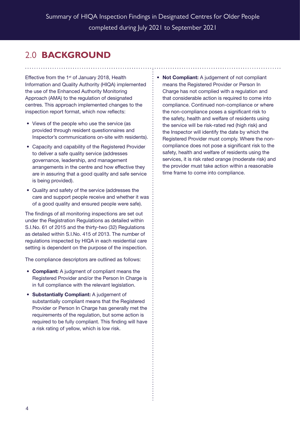# 2.0 **BACKGROUND**

Effective from the 1st of January 2018, Health Information and Quality Authority (HIQA) implemented the use of the Enhanced Authority Monitoring Approach (AMA) to the regulation of designated centres. This approach implemented changes to the inspection report format, which now reflects:

- Views of the people who use the service (as provided through resident questionnaires and Inspector's communications on-site with residents).
- Capacity and capability of the Registered Provider to deliver a safe quality service (addresses governance, leadership, and management arrangements in the centre and how effective they are in assuring that a good quality and safe service is being provided).
- Quality and safety of the service (addresses the care and support people receive and whether it was of a good quality and ensured people were safe).

The findings of all monitoring inspections are set out under the Registration Regulations as detailed within S.I.No. 61 of 2015 and the thirty-two (32) Regulations as detailed within S.I.No. 415 of 2013. The number of regulations inspected by HIQA in each residential care setting is dependent on the purpose of the inspection.

The compliance descriptors are outlined as follows:

- Compliant: A judgment of compliant means the Registered Provider and/or the Person In Charge is in full compliance with the relevant legislation.
- Substantially Compliant: A judgement of substantially compliant means that the Registered Provider or Person In Charge has generally met the requirements of the regulation, but some action is required to be fully compliant. This finding will have a risk rating of yellow, which is low risk.

• Not Compliant: A judgement of not compliant means the Registered Provider or Person In Charge has not complied with a regulation and that considerable action is required to come into compliance. Continued non-compliance or where the non-compliance poses a significant risk to the safety, health and welfare of residents using the service will be risk-rated red (high risk) and the Inspector will identify the date by which the Registered Provider must comply. Where the noncompliance does not pose a significant risk to the safety, health and welfare of residents using the services, it is risk rated orange (moderate risk) and the provider must take action within a reasonable time frame to come into compliance.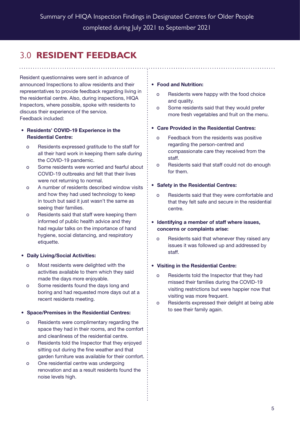# 3.0 **RESIDENT FEEDBACK**

Resident questionnaires were sent in advance of announced Inspections to allow residents and their representatives to provide feedback regarding living in the residential centre. Also, during inspections, HIQA Inspectors, where possible, spoke with residents to discuss their experience of the service. Feedback included:

- Residents' COVID-19 Experience in the Residential Centre:
	- o Residents expressed gratitude to the staff for all their hard work in keeping them safe during the COVID-19 pandemic.
	- o Some residents were worried and fearful about COVID-19 outbreaks and felt that their lives were not returning to normal.
	- o A number of residents described window visits and how they had used technology to keep in touch but said it just wasn't the same as seeing their families.
	- o Residents said that staff were keeping them informed of public health advice and they had regular talks on the importance of hand hygiene, social distancing, and respiratory etiquette.
- Daily Living/Social Activities:
	- o Most residents were delighted with the activities available to them which they said made the days more enjoyable.
	- o Some residents found the days long and boring and had requested more days out at a recent residents meeting.
- Space/Premises in the Residential Centres:
	- o Residents were complimentary regarding the space they had in their rooms, and the comfort and cleanliness of the residential centre.
	- o Residents told the Inspector that they enjoyed sitting out during the fine weather and that garden furniture was available for their comfort.
	- o One residential centre was undergoing renovation and as a result residents found the noise levels high.

# • Food and Nutrition:

o Residents were happy with the food choice and quality.

o Some residents said that they would prefer more fresh vegetables and fruit on the menu.

# • Care Provided in the Residential Centres:

- o Feedback from the residents was positive regarding the person-centred and compassionate care they received from the staff.
- o Residents said that staff could not do enough for them.

# • Safety in the Residential Centres:

o Residents said that they were comfortable and that they felt safe and secure in the residential centre.

# • Identifying a member of staff where issues, concerns or complaints arise:

o Residents said that whenever they raised any issues it was followed up and addressed by staff.

# • Visiting in the Residential Centre:

- o Residents told the Inspector that they had missed their families during the COVID-19 visiting restrictions but were happier now that visiting was more frequent.
- o Residents expressed their delight at being able to see their family again.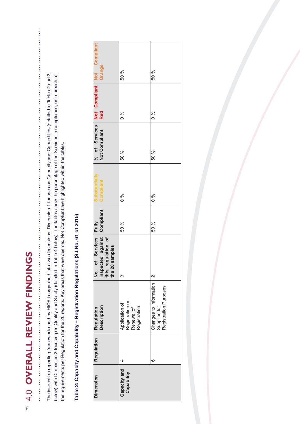4.0 **OVERALL REVIEW FINDINGS**  $^{\circ}$  4.0 OVERALL REVIEW FINDINGS

The inspective reporting framework used by HIQA is organised into two dimensions. Dimensions (detailed in Tables 2 and Capacity and Capabilities (detailed in Tables 2 and Capacity and Capabilities (detailed in Tables 2 an The inspection reporting framework used by HIQA is organised into two dimensions. Dimension 1 focuses on Capacity and Capabilities (detailed in Tables 2 and 3 The inspection reporting framework used by HIQA is organised into two dimensions. Dimension 1 focuses on Capacity and Capabilities (detailed in Tables 2 and 3 below) with Dimension 2 focusing on Quality and Safety (detailed in Table 4 below). The tables show the percentage of the Services in compliance, or in breach of, below) with Dimension 2 focusing on Quality and Safety (detailed in Table 4 below). The tables show the percentage of the Services in compliance, or in breach of, the requirements per Regulation for the 20 reports. Key areas that were deemed Not Compliant are highlighted within the tables. the requirements per Regulation for the 20 reports. Key areas that were deemed Not Compliant are highlighted within the tables. **4.00 MB / OVERALL REVIEW FINDING IN A LIGHTING AND MANUSCRY CONTINUES.** 

**Summary of HIQA Inspection Findings in Designated Centres for Older People completed during July 2021 to September 2021** 

# require  $z:$  Capacity and Capacity are Registration fregulations. (S.I.No. of 2015) Table 2: Capacity and Capability – Registration Regulations (S.I.No. 61 of 2015) Table 2: Capacity and Capability - Registration Regulations (S.I.No. 61 of 2015)

| <b>Dimension</b>           | Regulation | <b>Description</b><br><b>Regulation</b>                         | No. of Services Fully<br>inspected against Compliant<br>the 20 samples |      | <b>Substantially</b><br><b>Compliant</b> | % of Services Not Compliant Not Compliant<br>Not Compliant Red<br>  Orange |     |      |
|----------------------------|------------|-----------------------------------------------------------------|------------------------------------------------------------------------|------|------------------------------------------|----------------------------------------------------------------------------|-----|------|
| Capacity and<br>Capability |            | Registration or<br>Application of<br>Renewal of<br>Registration | ᠭ                                                                      | 50 % | 0 %                                      | 50 %                                                                       | 0 % | 50 % |
|                            | ဇ          | Changes to Information<br>Registration Purposes<br>Supplied for | $\sim$                                                                 | 50 % | 0 %                                      | 50 %                                                                       | 0 % | 50 % |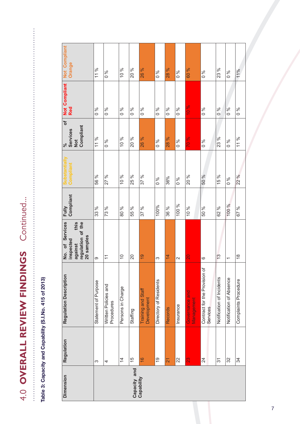4.0 OVERALL REVIEW FINDINGS Continued... 4.0 **OVERALL REVIEW FINDINGS** Continued...

**Summary of HIQA Inspection Findings in Designated Centres for Older People completed during July 2021 to September 2021**

,他, 这次的的,我的是我的,我的是我的,我的是我的,我的是我的,我的是我的,我的是我的,我的是我的是我的,我的是我的是我的。我的是我的是我的,我的是我的。

Table 3: Capacity and Capability (S.I.No. 415 of 2013) Table 3: Capacity and Capability (S.I.No. 415 of 2013)

**\*\*\*\*\*\*\*\*\*\*\*\*\*\*\*\*\*\*\*\*\*\*\*\*\*\*\*** 

| Not Compliant<br>Orange                                                            | 11 %                 | $\%$ 0                             | 10 %              | <b>20%</b>    | 26 %                              | $\%$ 0                 | 28 %                    | $\%$ 0          | 60 %                         | $\%$ 0                                    | 23 %                      | $\%$ 0                  | 11%                  |
|------------------------------------------------------------------------------------|----------------------|------------------------------------|-------------------|---------------|-----------------------------------|------------------------|-------------------------|-----------------|------------------------------|-------------------------------------------|---------------------------|-------------------------|----------------------|
| Not Compliant<br>Red                                                               | $\%$ 0               | $\frac{6}{6}$                      | $\frac{6}{6}$     | $\frac{6}{6}$ | $\%$ 0                            | $\frac{6}{6}$          | $\%$ 0                  | $\frac{9}{6}$   | 10 <sup>9</sup>              | $\%$ 0                                    | $\frac{9}{6}$             | $\%$ 0                  | $\frac{6}{6}$        |
| $\overline{\sigma}$<br>Compliant<br>Services<br>$\overline{\textbf{z}}$<br>ೢೕ      | 11 %                 | $\%$ 0                             | 10 %              | 20 %          | 26 %                              | $\%$ 0                 | 28 %                    | $\%$ 0          | $^{96}$ 0 $^{7}$             | $\%$ 0                                    | 23 %                      | $\%$ 0                  | 11 %                 |
| Substantially<br>Compliant                                                         | 56 %                 | 27 %                               | 10 %              | 25 %          | 37 %                              | $\frac{96}{6}$         | 36%                     | $\%$ 0          | 20 %                         | 50 %                                      | 15 %                      | $\frac{96}{6}$          | 22 %                 |
| Fully<br>Compliant                                                                 | 33 %                 | 73 %                               | 80 %              | 55 %          | 37 %                              | 100%                   | 36 %                    | 100 %           | 10 %                         | 50 %                                      | 62 %                      | 100 %                   | 67 %                 |
| No. of Services<br>this<br>regulation of the<br>20 samples<br>inspected<br>against | တ                    | $\tilde{\mathcal{L}}$              | $\overline{C}$    | 20            | $\frac{1}{2}$                     | S                      | $\overline{4}$          | $\mathbf{\sim}$ | $\overline{\Omega}$          | ပ                                         | $\frac{3}{2}$             | $\overline{ }$          | $\frac{8}{1}$        |
| Regulation Description                                                             | Statement of Purpose | Written Policies and<br>Procedures | Persons in Charge | Staffing      | Training and Staff<br>Development | Directory of Residents | Records                 | Insurance       | Governance and<br>Management | Contract for the Provision of<br>Services | Notification of Incidents | Notification of Absence | Complaints Procedure |
| Regulation                                                                         | ω                    | 4                                  | $\overline{4}$    | 45            | $\frac{6}{1}$                     | 6)                     | $\overline{\mathbf{S}}$ | 22              | $\mathfrak{C}$               | $\overline{24}$                           | 31                        | 32                      | 34                   |
| <b>Dimension</b>                                                                   |                      | Capacity and<br>Capability         |                   |               |                                   |                        |                         |                 |                              |                                           |                           |                         |                      |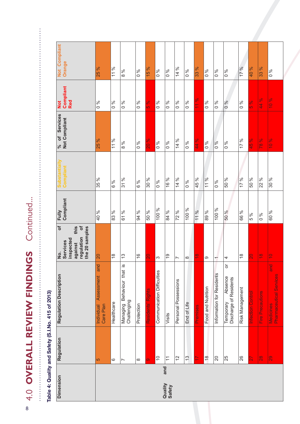4.0 **OVERALL REVIEW FINDINGS** Continued... <sup>®</sup> 4.0 OVERALL REVIEW FINDINGS Continued... # Table 4: Quality and Safety (S.I.No. 415 of 2013) Table 4: Quality and Safety (S.I.No. 415 of 2013)

**...............** 

| Not Compliant                                                                                                             |                                              |                          |                                             |               |                   |                            |                         |                      |                |                          |                    |                           |                                                                       |                        |                           |                         |                                             |
|---------------------------------------------------------------------------------------------------------------------------|----------------------------------------------|--------------------------|---------------------------------------------|---------------|-------------------|----------------------------|-------------------------|----------------------|----------------|--------------------------|--------------------|---------------------------|-----------------------------------------------------------------------|------------------------|---------------------------|-------------------------|---------------------------------------------|
| Orange                                                                                                                    | 25 %                                         | 11 %                     | 8%                                          | $\%$ 0        | 15 %              | $\%$ 0                     | $\%$<br>$\circ$         | 14 %                 | $\%$ 0         | 33 %                     | $\%$ 0             | $\%$ 0                    | $\%$ 0                                                                | 17 %                   | 40 %                      | 33 %                    | $\%$ 0                                      |
| Compliant<br>Red<br>$\frac{1}{2}$                                                                                         | $\%$ 0                                       | $\%$ 0                   | $\frac{6}{6}$                               | $\%$ 0        | $\aleph$<br>5     | $\%$ 0                     | $\%$<br>$\circ$         | $\frac{9}{6}$        | $\%$ 0         | 11.96                    | $\frac{9}{6}$      | $\%$ 0                    | $\frac{6}{6}$                                                         | ಸಿ<br>$\circ$          | $\frac{5}{6}$             | 44 %                    | $-96$                                       |
| Services<br><b>Not Compliant</b><br>of<br>ೢೕ                                                                              | 25 %                                         | 11 %                     | 8%                                          | $\%$ 0        | 20 %              | $\%$ 0                     | $\%$<br>$\circ$         | 14 %                 | $\%$ 0         | 44 %                     | $\%$ 0             | $\frac{9}{6}$ 0           | $\frac{9}{6}$                                                         | %<br>$\overline{1}$    | $\aleph$<br>$\frac{5}{4}$ | 78%                     | 10 %                                        |
| Substantially<br>Compliant                                                                                                | 35 %                                         | 6 %                      | 31 %                                        | 6 %           | 30 %              | $\%$ 0                     | $\%$<br>$\frac{6}{5}$   | 14%                  | $\frac{96}{6}$ | 45 %                     | 11 %               | $\%$ 0                    | 50 %                                                                  | $\%$<br>$\overline{1}$ | 50 %                      | $\%$<br>22              | 30 %                                        |
| Compliant<br>Fully                                                                                                        | 40 %                                         | 83 %                     | 61 %                                        | 94 %          | 50 %              | 100 %                      | 84 %                    | 72 %                 | 100 %          | 11 %                     | 89 %               | 100 %                     | 50 %                                                                  | 66 %                   | $\frac{96}{2}$            | $\%$ 0                  | 60 %                                        |
| $\mathbf{b}$<br>$\mathsf{d}$<br>this<br>the 20 samples<br>regulation<br>inspected<br>Services<br>against<br>$\frac{1}{2}$ | 20                                           | $\frac{8}{1}$            | <u>ლ</u>                                    | $\frac{6}{1}$ | $\frac{0}{2}$     | S                          | é,                      | N                    | ${}^{\circ}$   | $\frac{1}{\sqrt{2}}$     | ග                  | $\overline{ }$            | 4                                                                     | $\frac{8}{1}$          | $\frac{0}{2}$             | $\frac{\infty}{1}$      | $\frac{1}{2}$                               |
| <b>Regulation Description</b>                                                                                             | and<br>Assessment<br>Care Plan<br>Individual | Healthcare               | S<br>Managing Behaviour that<br>Challenging | Protection    | Residents' Rights | Communication Difficulties | Visits                  | Personal Possessions | End of Life    | <b>Premises</b>          | Food and Nutrition | Information for Residents | $\overline{\sigma}$<br>Absence<br>Discharge of Residents<br>Temporary | Risk Management        | Infection Control         | <b>Fire Precautions</b> | and<br>Pharmaceutical Services<br>Medicines |
| Regulation                                                                                                                | 5                                            | 6                        | ∼                                           | $\infty$      | <u>က</u>          | $\frac{0}{1}$              | $\overleftarrow{\cdot}$ | $\tilde{c}$          | $\frac{3}{2}$  | $\overline{\mathcal{L}}$ | $\frac{8}{3}$      | 20                        | 25                                                                    | 26                     | 27                        | $\overline{\mathbb{C}}$ | $\overline{c}$                              |
| Dimension                                                                                                                 |                                              | and<br>Quality<br>Safety |                                             |               |                   |                            |                         |                      |                |                          |                    |                           |                                                                       |                        |                           |                         |                                             |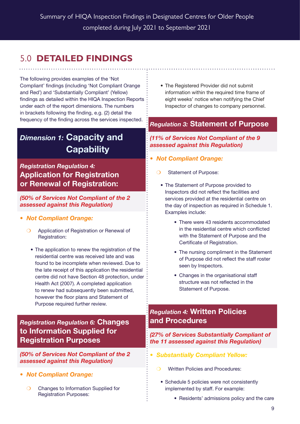# 5.0 **DETAILED FINDINGS**

The following provides examples of the 'Not Compliant' findings (including 'Not Compliant Orange and Red') and 'Substantially Compliant' (Yellow) findings as detailed within the HIQA Inspection Reports under each of the report dimensions. The numbers in brackets following the finding, e.g. (2) detail the frequency of the finding across the services inspected.

# *Dimension 1:* Capacity and **Capability**

*Registration Regulation 4:* Application for Registration or Renewal of Registration:

*(50% of Services Not Compliant of the 2 assessed against this Regulation)*

# *• Not Compliant Orange:*

- O Application of Registration or Renewal of Registration:
	- The application to renew the registration of the residential centre was received late and was found to be incomplete when reviewed. Due to the late receipt of this application the residential centre did not have Section 48 protection, under Health Act (2007). A completed application to renew had subsequently been submitted, however the floor plans and Statement of Purpose required further review.

# *Registration Regulation 6:* Changes to Information Supplied for Registration Purposes

*(50% of Services Not Compliant of the 2 assessed against this Regulation)*

- *• Not Compliant Orange:*
	- O Changes to Information Supplied for Registration Purposes:

• The Registered Provider did not submit information within the required time frame of eight weeks' notice when notifying the Chief Inspector of changes to company personnel.

# *Regulation 3:* Statement of Purpose

*(11% of Services Not Compliant of the 9 assessed against this Regulation)*

# *• Not Compliant Orange:*

- ❍ Statement of Purpose:
	- The Statement of Purpose provided to Inspectors did not reflect the facilities and services provided at the residential centre on the day of inspection as required in Schedule 1. Examples include:
		- There were 43 residents accommodated in the residential centre which conflicted with the Statement of Purpose and the Certificate of Registration.
		- The nursing compliment in the Statement of Purpose did not reflect the staff roster seen by Inspectors.
		- Changes in the organisational staff structure was not reflected in the Statement of Purpose.

# *Regulation 4:* Written Policies and Procedures

*(27% of Services Substantially Compliant of the 11 assessed against this Regulation)*

- *• Substantially Compliant Yellow:*
	- O Written Policies and Procedures:
		- Schedule 5 policies were not consistently implemented by staff. For example:
			- Residents' admissions policy and the care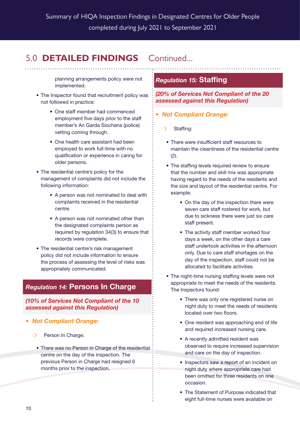planning arrangements policy were not implemented.

- The Inspector found that recruitment policy was not followed in practice:
	- One staff member had commenced employment five days prior to the staff member's An Garda Siochana (police) vetting coming through.
	- One health care assistant had been employed to work full-time with no qualification or experience in caring for older persons.
- The residential centre's policy for the management of complaints did not include the following information:
	- A person was not nominated to deal with complaints received in the residential centre.
	- A person was not nominated other than the designated complaints person as required by regulation 34(3) to ensure that records were complete.
- The residential centre's risk management policy did not include information to ensure the process of assessing the level of risks was appropriately communicated.

# *Regulation 14:* Persons In Charge

*(10% of Services Not Compliant of the 10 assessed against this Regulation)*

- *• Not Compliant Orange:*
	- O Person In Charge:
		- There was no Person in Charge of the residential centre on the day of the inspection. The previous Person in Charge had resigned 6 months prior to the inspection.

# 

# *Regulation 15:* Staffing

*(20% of Services Not Compliant of the 20 assessed against this Regulation)*

- *• Not Compliant Orange:*
	- ❍ Staffing:
		- There were insufficient staff resources to maintain the cleanliness of the residential centre (2).
		- The staffing levels required review to ensure that the number and skill mix was appropriate having regard to the needs of the residents and the size and layout of the residential centre. For example:
			- On the day of the inspection there were seven care staff rostered for work, but due to sickness there were just six care staff present.
			- The activity staff member worked four days a week, on the other days a care staff undertook activities in the afternoon only. Due to care staff shortages on the day of the inspection, staff could not be allocated to facilitate activities.
		- The night-time nursing staffing levels were not appropriate to meet the needs of the residents. The Inspectors found:
			- There was only one registered nurse on night duty to meet the needs of residents located over two floors.
			- One resident was approaching end of life and required increased nursing care.
			- A recently admitted resident was observed to require increased supervision and care on the day of inspection.
			- Inspectors saw a report of an incident on night duty where appropriate care had been omitted for three residents on one occasion.
			- The Statement of Purpose indicated that eight full-time nurses were available on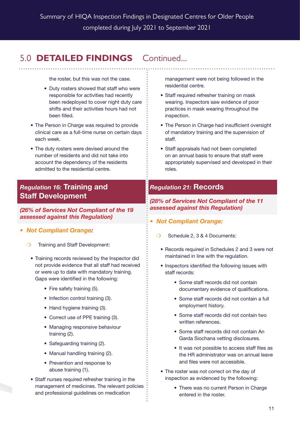the roster, but this was not the case.

- Duty rosters showed that staff who were responsible for activities had recently been redeployed to cover night duty care shifts and their activities hours had not been filled.
- The Person in Charge was required to provide clinical care as a full-time nurse on certain days each week.
- The duty rosters were devised around the number of residents and did not take into account the dependency of the residents admitted to the residential centre.

# *Regulation 16:* Training and Staff Development

*(26% of Services Not Compliant of the 19 assessed against this Regulation)*

# *• Not Compliant Orange:*

- O Training and Staff Development:
	- Training records reviewed by the Inspector did not provide evidence that all staff had received or were up to date with mandatory training. Gaps were identified in the following:
		- Fire safety training (5).
		- Infection control training (3).
		- Hand hygiene training (3).
		- Correct use of PPE training (3).
		- Managing responsive behaviour training (2).
		- Safeguarding training (2).
		- Manual handling training (2).
		- Prevention and response to abuse training (1).
	- Staff nurses required refresher training in the management of medicines. The relevant policies and professional guidelines on medication

management were not being followed in the residential centre.

- Staff required refresher training on mask wearing. Inspectors saw evidence of poor practices in mask wearing throughout the inspection.
- The Person in Charge had insufficient oversight of mandatory training and the supervision of staff.
- Staff appraisals had not been completed on an annual basis to ensure that staff were appropriately supervised and developed in their roles.

# *Regulation 21:* Records

# *(28% of Services Not Compliant of the 11 assessed against this Regulation)*

# *• Not Compliant Orange:*

- O Schedule 2, 3 & 4 Documents:
	- Records required in Schedules 2 and 3 were not maintained in line with the regulation.
	- Inspectors identified the following issues with staff records:
		- Some staff records did not contain documentary evidence of qualifications.
		- Some staff records did not contain a full employment history.
		- Some staff records did not contain two written references.
		- Some staff records did not contain An Garda Siochana vetting disclosures.
		- It was not possible to access staff files as the HR administrator was on annual leave and files were not accessible.
	- The roster was not correct on the day of inspection as evidenced by the following:
		- There was no current Person in Charge entered in the roster.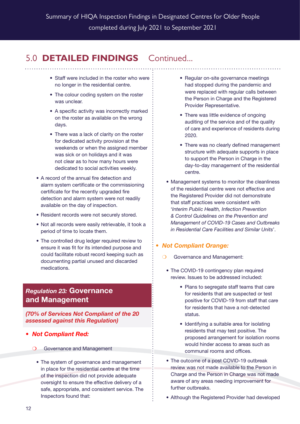- Staff were included in the roster who were no longer in the residential centre.
- The colour coding system on the roster was unclear.
- A specific activity was incorrectly marked on the roster as available on the wrong days.
- There was a lack of clarity on the roster for dedicated activity provision at the weekends or when the assigned member was sick or on holidays and it was not clear as to how many hours were dedicated to social activities weekly.
- A record of the annual fire detection and alarm system certificate or the commissioning certificate for the recently upgraded fire detection and alarm system were not readily available on the day of inspection.
- Resident records were not securely stored.
- Not all records were easily retrievable, it took a period of time to locate them.
- The controlled drug ledger required review to ensure it was fit for its intended purpose and could facilitate robust record keeping such as documenting partial unused and discarded medications.

# *Regulation 23:* Governance and Management

*(70% of Services Not Compliant of the 20 assessed against this Regulation)*

- *• Not Compliant Red:*
	- O Governance and Management
		- The system of governance and management in place for the residential centre at the time of the inspection did not provide adequate oversight to ensure the effective delivery of a safe, appropriate, and consistent service. The Inspectors found that:
- Regular on-site governance meetings had stopped during the pandemic and were replaced with regular calls between the Person in Charge and the Registered Provider Representative.
- There was little evidence of ongoing auditing of the service and of the quality of care and experience of residents during 2020.
- There was no clearly defined management structure with adequate supports in place to support the Person in Charge in the day-to-day management of the residential centre.
- Management systems to monitor the cleanliness of the residential centre were not effective and the Registered Provider did not demonstrate that staff practices were consistent with '*Interim Public Health, Infection Prevention & Control Guidelines on the Prevention and Management of COVID-19 Cases and Outbreaks in Residential Care Facilities and Similar Units*'.

# *• Not Compliant Orange:*

- O Governance and Management:
	- The COVID-19 contingency plan required review. Issues to be addressed included:
		- Plans to segregate staff teams that care for residents that are suspected or test positive for COVID-19 from staff that care for residents that have a not-detected status.
		- Identifying a suitable area for isolating residents that may test positive. The proposed arrangement for isolation rooms would hinder access to areas such as communal rooms and offices.
	- The outcome of a post COVID-19 outbreak review was not made available to the Person in Charge and the Person in Charge was not made aware of any areas needing improvement for further outbreaks.
	- Although the Registered Provider had developed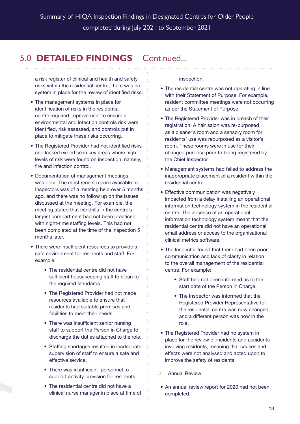a risk register of clinical and health and safety risks within the residential centre, there was no system in place for the review of identified risks.

- The management systems in place for identification of risks in the residential centre required improvement to ensure all environmental and infection controls risk were identified, risk assessed, and controls put in place to mitigate these risks occurring.
- The Registered Provider had not identified risks and lacked expertise in key areas where high levels of risk were found on inspection, namely, fire and infection control.
- Documentation of management meetings was poor. The most recent record available to Inspectors was of a meeting held over 5 months ago, and there was no follow up on the issues discussed at the meeting. For example, the meeting stated that fire drills in the centre's largest compartment had not been practiced with night-time staffing levels. This had not been completed at the time of the inspection 5 months later.
- There were insufficient resources to provide a safe environment for residents and staff. For example:
	- The residential centre did not have sufficient housekeeping staff to clean to the required standards.
	- The Registered Provider had not made resources available to ensure that residents had suitable premises and facilities to meet their needs.
	- There was insufficient senior nursing staff to support the Person in Charge to discharge the duties attached to the role.
	- Staffing shortages resulted in inadequate supervision of staff to ensure a safe and effective service.
	- There was insufficient personnel to support activity provision for residents.
	- The residential centre did not have a clinical nurse manager in place at time of

# inspection.

• The residential centre was not operating in line with their Statement of Purpose. For example, resident committee meetings were not occurring as per the Statement of Purpose.

- The Registered Provider was in breach of their registration. A hair salon was re-purposed as a cleaner's room and a sensory room for residents' use was repurposed as a visitor's room. These rooms were in use for their changed purpose prior to being registered by the Chief Inspector.
- Management systems had failed to address the inappropriate placement of a resident within the residential centre.
- Effective communication was negatively impacted from a delay installing an operational information technology system in the residential centre. The absence of an operational information technology system meant that the residential centre did not have an operational email address or access to the organisational clinical metrics software.
- The Inspector found that there had been poor communication and lack of clarity in relation to the overall management of the residential centre. For example:
	- Staff had not been informed as to the start date of the Person in Charge
	- The Inspector was informed that the Registered Provider Representative for the residential centre was now changed, and a different person was now in the role.
- The Registered Provider had no system in place for the review of incidents and accidents involving residents, meaning that causes and effects were not analysed and acted upon to improve the safety of residents.
- O Annual Review:
	- An annual review report for 2020 had not been completed.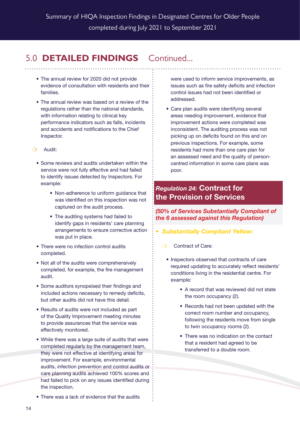- The annual review for 2020 did not provide evidence of consultation with residents and their families.
- The annual review was based on a review of the regulations rather than the national standards, with information relating to clinical key performance indicators such as falls, incidents and accidents and notifications to the Chief Inspector.
- ❍ Audit:
	- Some reviews and audits undertaken within the service were not fully effective and had failed to identify issues detected by Inspectors. For example:
		- Non-adherence to uniform guidance that was identified on this inspection was not captured on the audit process.
		- The auditing systems had failed to identify gaps in residents' care planning arrangements to ensure corrective action was put in place.
	- There were no infection control audits completed.
	- Not all of the audits were comprehensively completed, for example, the fire management audit.
	- Some auditors synopsised their findings and included actions necessary to remedy deficits, but other audits did not have this detail.
	- Results of audits were not included as part of the Quality Improvement meeting minutes to provide assurances that the service was effectively monitored.
	- While there was a large suite of audits that were completed regularly by the management team, they were not effective at identifying areas for improvement. For example, environmental audits, infection prevention and control audits or care planning audits achieved 100% scores and had failed to pick on any issues identified during the inspection.
	- There was a lack of evidence that the audits

were used to inform service improvements, as issues such as fire safety deficits and infection control issues had not been identified or addressed.

• Care plan audits were identifying several areas needing improvement, evidence that improvement actions were completed was inconsistent. The auditing process was not picking up on deficits found on this and on previous inspections. For example, some residents had more than one care plan for an assessed need and the quality of personcentred information in some care plans was poor.

# *Regulation 24:* Contract for the Provision of Services

*(50% of Services Substantially Compliant of the 6 assessed against this Regulation)*

- *• Substantially Compliant Yellow:*
	- ❍ Contract of Care:
		- Inspectors observed that contracts of care required updating to accurately reflect residents' conditions living in the residential centre. For example:
			- A record that was reviewed did not state the room occupancy (2).
			- Records had not been updated with the correct room number and occupancy, following the residents move from single to twin occupancy rooms (2).
			- There was no indication on the contact that a resident had agreed to be transferred to a double room.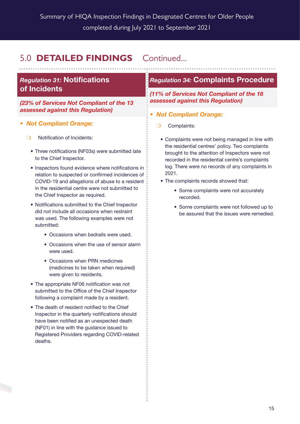# *Regulation 31:* Notifications of Incidents

*(23% of Services Not Compliant of the 13 assessed against this Regulation)*

- *• Not Compliant Orange:*
	- O Notification of Incidents:
		- Three notifications (NF03s) were submitted late to the Chief Inspector.
		- Inspectors found evidence where notifications in relation to suspected or confirmed incidences of COVID-19 and allegations of abuse to a resident in the residential centre were not submitted to the Chief Inspector as required.
		- Notifications submitted to the Chief Inspector did not include all occasions when restraint was used. The following examples were not submitted:
			- Occasions when bedrails were used.
			- Occasions when the use of sensor alarm were used.
			- Occasions when PRN medicines (medicines to be taken when required) were given to residents.
		- The appropriate NF06 notification was not submitted to the Office of the Chief Inspector following a complaint made by a resident.
		- The death of resident notified to the Chief Inspector in the quarterly notifications should have been notified as an unexpected death (NF01) in line with the guidance issued to Registered Providers regarding COVID-related deaths.

# *Regulation 34:* Complaints Procedure

*(11% of Services Not Compliant of the 18 assessed against this Regulation)*

# *• Not Compliant Orange:*

- O Complaints:
	- Complaints were not being managed in line with the residential centres' policy. Two complaints brought to the attention of Inspectors were not recorded in the residential centre's complaints log. There were no records of any complaints in 2021.
	- The complaints records showed that:
		- Some complaints were not accurately recorded.
		- Some complaints were not followed up to be assured that the issues were remedied.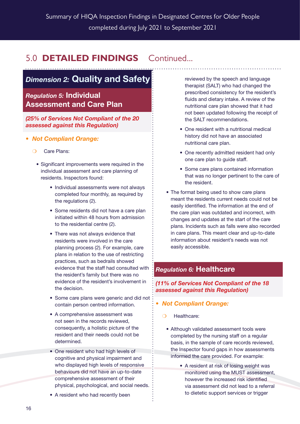# *Dimension 2:* Quality and Safety

# *Regulation 5:* Individual Assessment and Care Plan

# *(25% of Services Not Compliant of the 20 assessed against this Regulation)*

- *• Not Compliant Orange:*
	- O Care Plans:
		- Significant improvements were required in the individual assessment and care planning of residents. Inspectors found:
			- Individual assessments were not always completed four monthly, as required by the regulations (2).
			- Some residents did not have a care plan initiated within 48 hours from admission to the residential centre (2).
			- There was not always evidence that residents were involved in the care planning process (2). For example, care plans in relation to the use of restricting practices, such as bedrails showed evidence that the staff had consulted with the resident's family but there was no evidence of the resident's involvement in the decision.
			- Some care plans were generic and did not contain person centred information.
			- A comprehensive assessment was not seen in the records reviewed, consequently, a holistic picture of the resident and their needs could not be determined.
			- One resident who had high levels of cognitive and physical impairment and who displayed high levels of responsive behaviours did not have an up-to-date comprehensive assessment of their physical, psychological, and social needs.
			- A resident who had recently been

reviewed by the speech and language therapist (SALT) who had changed the prescribed consistency for the resident's fluids and dietary intake. A review of the nutritional care plan showed that it had not been updated following the receipt of the SALT recommendations.

- One resident with a nutritional medical history did not have an associated nutritional care plan.
- One recently admitted resident had only one care plan to guide staff.
- Some care plans contained information that was no longer pertinent to the care of the resident.
- The format being used to show care plans meant the residents current needs could not be easily identified. The information at the end of the care plan was outdated and incorrect, with changes and updates at the start of the care plans. Incidents such as falls were also recorded in care plans. This meant clear and up-to-date information about resident's needs was not easily accessible.

# *Regulation 6:* Healthcare

*(11% of Services Not Compliant of the 18 assessed against this Regulation)*

- *• Not Compliant Orange:*
	- ❍ Healthcare:
		- Although validated assessment tools were completed by the nursing staff on a regular basis, in the sample of care records reviewed, the Inspector found gaps in how assessments informed the care provided. For example:
			- A resident at risk of losing weight was monitored using the MUST assessment, however the increased risk identified via assessment did not lead to a referral to dietetic support services or trigger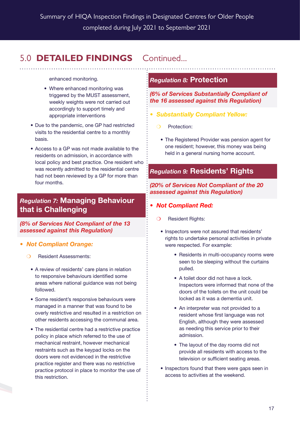enhanced monitoring.

- Where enhanced monitoring was triggered by the MUST assessment, weekly weights were not carried out accordingly to support timely and appropriate interventions
- Due to the pandemic, one GP had restricted visits to the residential centre to a monthly basis.
- Access to a GP was not made available to the residents on admission, in accordance with local policy and best practice. One resident who was recently admitted to the residential centre had not been reviewed by a GP for more than four months.

# *Regulation 7:* Managing Behaviour that is Challenging

*(8% of Services Not Compliant of the 13 assessed against this Regulation)*

# *• Not Compliant Orange:*

- ❍ Resident Assessments:
- A review of residents' care plans in relation to responsive behaviours identified some areas where national guidance was not being followed.
- Some resident's responsive behaviours were managed in a manner that was found to be overly restrictive and resulted in a restriction on other residents accessing the communal area.
- The residential centre had a restrictive practice policy in place which referred to the use of mechanical restraint, however mechanical restraints such as the keypad locks on the doors were not evidenced in the restrictive practice register and there was no restrictive practice protocol in place to monitor the use of this restriction.

# *Regulation 8:* Protection

# *(6% of Services Substantially Compliant of the 16 assessed against this Regulation)*

- *• Substantially Compliant Yellow:*
	- O Protection:
		- The Registered Provider was pension agent for one resident; however, this money was being held in a general nursing home account.

# *Regulation 9:* Residents' Rights

# *(20% of Services Not Compliant of the 20 assessed against this Regulation)*

# *• Not Compliant Red:*

- O Resident Rights:
	- Inspectors were not assured that residents' rights to undertake personal activities in private were respected. For example:
		- Residents in multi-occupancy rooms were seen to be sleeping without the curtains pulled.
		- A toilet door did not have a lock. Inspectors were informed that none of the doors of the toilets on the unit could be locked as it was a dementia unit.
		- An interpreter was not provided to a resident whose first language was not English, although they were assessed as needing this service prior to their admission.
		- The layout of the day rooms did not provide all residents with access to the television or sufficient seating areas.
	- Inspectors found that there were gaps seen in access to activities at the weekend.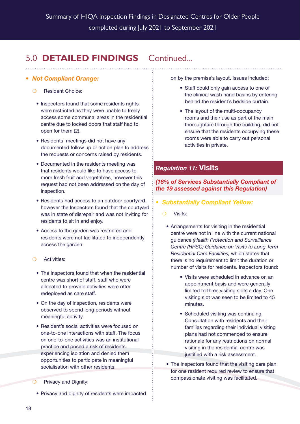# *• Not Compliant Orange:*

- O Resident Choice:
	- Inspectors found that some residents rights were restricted as they were unable to freely access some communal areas in the residential centre due to locked doors that staff had to open for them (2).
	- Residents' meetings did not have any documented follow up or action plan to address the requests or concerns raised by residents.
	- Documented in the residents meeting was that residents would like to have access to more fresh fruit and vegetables, however this request had not been addressed on the day of inspection.
	- Residents had access to an outdoor courtyard, however the Inspectors found that the courtyard was in state of disrepair and was not inviting for residents to sit in and enjoy.
	- Access to the garden was restricted and residents were not facilitated to independently access the garden.
- O Activities:
	- The Inspectors found that when the residential centre was short of staff, staff who were allocated to provide activities were often redeployed as care staff.
	- On the day of inspection, residents were observed to spend long periods without meaningful activity.
	- Resident's social activities were focused on one-to-one interactions with staff. The focus on one-to-one activities was an institutional practice and posed a risk of residents experiencing isolation and denied them opportunities to participate in meaningful socialisation with other residents.
- O Privacy and Dignity:
- Privacy and dignity of residents were impacted

on by the premise's layout. Issues included:

- Staff could only gain access to one of the clinical wash hand basins by entering behind the resident's bedside curtain.
- The layout of the multi-occupancy rooms and their use as part of the main thoroughfare through the building, did not ensure that the residents occupying these rooms were able to carry out personal activities in private.

# *Regulation 11:* Visits

# *(16% of Services Substantially Compliant of the 19 assessed against this Regulation)*

# *• Substantially Compliant Yellow:*

- ❍ Visits:
	- Arrangements for visiting in the residential centre were not in line with the current national guidance *(Health Protection and Surveillance Centre (HPSC) Guidance on Visits to Long Term Residential Care Facilities)* which states that there is no requirement to limit the duration or number of visits for residents. Inspectors found:
		- Visits were scheduled in advance on an appointment basis and were generally limited to three visiting slots a day. One visiting slot was seen to be limited to 45 minutes.
		- Scheduled visiting was continuing. Consultation with residents and their families regarding their individual visiting plans had not commenced to ensure rationale for any restrictions on normal visiting in the residential centre was justified with a risk assessment.
	- The Inspectors found that the visiting care plan for one resident required review to ensure that compassionate visiting was facilitated.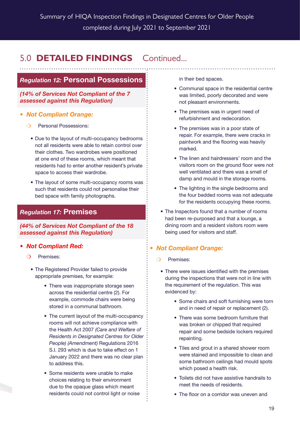# *Regulation 12:* Personal Possessions

*(14% of Services Not Compliant of the 7 assessed against this Regulation)*

- *• Not Compliant Orange:*
	- ❍ Personal Possessions:
	- Due to the layout of multi-occupancy bedrooms not all residents were able to retain control over their clothes. Two wardrobes were positioned at one end of these rooms, which meant that residents had to enter another resident's private space to access their wardrobe.
	- The layout of some multi-occupancy rooms was such that residents could not personalise their bed space with family photographs.

# *Regulation 17:* Premises

*(44% of Services Not Compliant of the 18 assessed against this Regulation)*

# *• Not Compliant Red:*

- O Premises:
	- The Registered Provider failed to provide appropriate premises, for example:
		- There was inappropriate storage seen across the residential centre (2). For example, commode chairs were being stored in a communal bathroom.
		- The current layout of the multi-occupancy rooms will not achieve compliance with the Health Act 2007 *(Care and Welfare of Residents in Designated Centres for Older People) (Amendment)* Regulations 2016 S.I. 293 which is due to take effect on 1 January 2022 and there was no clear plan to address this.
		- Some residents were unable to make choices relating to their environment due to the opaque glass which meant residents could not control light or noise

in their bed spaces.

• Communal space in the residential centre was limited, poorly decorated and were not pleasant environments.

- The premises was in urgent need of refurbishment and redecoration.
- The premises was in a poor state of repair. For example, there were cracks in paintwork and the flooring was heavily marked.
- The linen and hairdressers' room and the visitors room on the ground floor were not well ventilated and there was a smell of damp and mould in the storage rooms.
- The lighting in the single bedrooms and the four bedded rooms was not adequate for the residents occupying these rooms.
- The Inspectors found that a number of rooms had been re-purposed and that a lounge, a dining room and a resident visitors room were being used for visitors and staff.

# *• Not Compliant Orange:*

- O Premises:
	- There were issues identified with the premises during the inspections that were not in line with the requirement of the regulation. This was evidenced by:
		- Some chairs and soft furnishing were torn and in need of repair or replacement (2).
		- There was some bedroom furniture that was broken or chipped that required repair and some bedside lockers required repainting.
		- Tiles and grout in a shared shower room were stained and impossible to clean and some bathroom ceilings had mould spots which posed a health risk.
		- Toilets did not have assistive handrails to meet the needs of residents.
		- The floor on a corridor was uneven and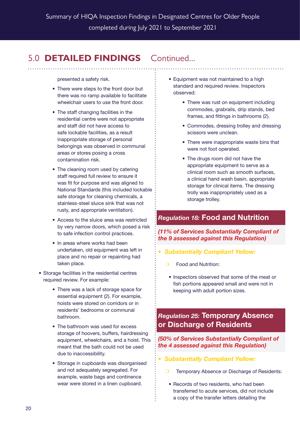presented a safety risk.

- There were steps to the front door but there was no ramp available to facilitate wheelchair users to use the front door.
- The staff changing facilities in the residential centre were not appropriate and staff did not have access to safe lockable facilities, as a result inappropriate storage of personal belongings was observed in communal areas or stores posing a cross contamination risk.
- The cleaning room used by catering staff required full review to ensure it was fit for purpose and was aligned to National Standards (this included lockable safe storage for cleaning chemicals, a stainless-steel sluice sink that was not rusty, and appropriate ventilation).
- Access to the sluice area was restricted by very narrow doors, which posed a risk to safe infection control practices.
- In areas where works had been undertaken, old equipment was left in place and no repair or repainting had taken place.
- Storage facilities in the residential centres required review. For example:
	- There was a lack of storage space for essential equipment (2). For example, hoists were stored on corridors or in residents' bedrooms or communal bathroom.
	- The bathroom was used for excess storage of hoovers, buffers, hairdressing equipment, wheelchairs, and a hoist. This meant that the bath could not be used due to inaccessibility.
	- Storage in cupboards was disorganised and not adequately segregated. For example, waste bags and continence wear were stored in a linen cupboard.

İ

- Equipment was not maintained to a high standard and required review. Inspectors observed:
	- There was rust on equipment including commodes, grabrails, drip stands, bed frames, and fittings in bathrooms (2).
	- Commodes, dressing trolley and dressing scissors were unclean.
	- There were inappropriate waste bins that were not foot operated.
	- The drugs room did not have the appropriate equipment to serve as a clinical room such as smooth surfaces, a clinical hand wash basin, appropriate storage for clinical items. The dressing trolly was inappropriately used as a storage trolley.

# *Regulation 18:* Food and Nutrition

*(11% of Services Substantially Compliant of the 9 assessed against this Regulation)*

- *• Substantially Compliant Yellow:*
	- O Food and Nutrition:
		- Inspectors observed that some of the meat or fish portions appeared small and were not in keeping with adult portion sizes.

# *Regulation 25:* Temporary Absence or Discharge of Residents

# *(50% of Services Substantially Compliant of the 4 assessed against this Regulation)*

- *• Substantially Compliant Yellow:*
	- O Temporary Absence or Discharge of Residents:
		- Records of two residents, who had been transferred to acute services, did not include a copy of the transfer letters detailing the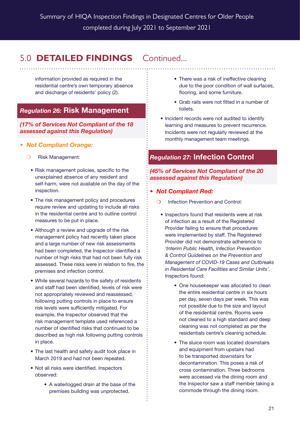information provided as required in the residential centre's own temporary absence and discharge of residents' policy (2).

# *Regulation 26:* Risk Management

*(17% of Services Not Compliant of the 18 assessed against this Regulation)*

- *• Not Compliant Orange:*
	- O Risk Management:
		- Risk management policies, specific to the unexplained absence of any resident and self-harm, were not available on the day of the inspection.
		- The risk management policy and procedures require review and updating to include all risks in the residential centre and to outline control measures to be put in place.
		- Although a review and upgrade of the risk management policy had recently taken place and a large number of new risk assessments had been completed, the Inspector identified a number of high risks that had not been fully risk assessed. These risks were in relation to fire, the premises and infection control.
		- While several hazards to the safety of residents and staff had been identified, levels of risk were not appropriately reviewed and reassessed, following putting controls in place to ensure risk levels were sufficiently mitigated. For example, the Inspector observed that the risk management template used referenced a number of identified risks that continued to be described as high risk following putting controls in place.
		- The last health and safety audit took place in March 2019 and had not been repeated.
		- Not all risks were identified. Inspectors observed:
			- A waterlogged drain at the base of the premises building was unprotected.

 $\ddot{\cdot}$ 

- There was a risk of ineffective cleaning due to the poor condition of wall surfaces, flooring, and some furniture.
- Grab rails were not fitted in a number of toilets.
- Incident records were not audited to identify learning and measures to prevent recurrence. Incidents were not regularly reviewed at the monthly management team meetings.

# *Regulation 27:* Infection Control

# *(45% of Services Not Compliant of the 20 assessed against this Regulation)*

# *• Not Compliant Red:*

- O Infection Prevention and Control:
	- Inspectors found that residents were at risk of infection as a result of the Registered Provider failing to ensure that procedures were implemented by staff. The Registered Provider did not demonstrate adherence to *'Interim Public Health, Infection Prevention & Control Guidelines on the Prevention and Management of COVID-19 Cases and Outbreaks in Residential Care Facilities and Similar Units'*. Inspectors found:
		- One housekeeper was allocated to clean the entire residential centre in six hours per day, seven days per week. This was not possible due to the size and layout of the residential centre. Rooms were not cleaned to a high standard and deep cleaning was not completed as per the residentials centre's cleaning schedule.
		- The sluice room was located downstairs and equipment from upstairs had to be transported downstairs for decontamination. This poses a risk of cross contamination. Three bedrooms were accessed via the dining room and the Inspector saw a staff member taking a commode through the dining room.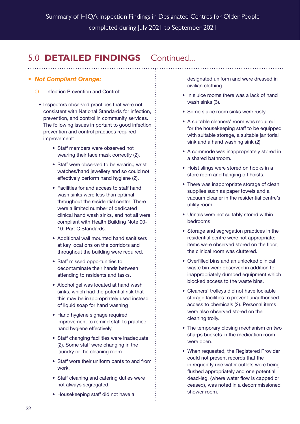# *• Not Compliant Orange:*

- O Infection Prevention and Control:
	- Inspectors observed practices that were not consistent with National Standards for infection, prevention, and control in community services. The following issues important to good infection prevention and control practices required improvement:
		- Staff members were observed not wearing their face mask correctly (2).
		- Staff were observed to be wearing wrist watches/hand jewellery and so could not effectively perform hand hygiene (2).
		- Facilities for and access to staff hand wash sinks were less than optimal throughout the residential centre. There were a limited number of dedicated clinical hand wash sinks, and not all were compliant with Health Building Note 00- 10: Part C Standards.
		- Additional wall mounted hand sanitisers at key locations on the corridors and throughout the building were required.
		- Staff missed opportunities to decontaminate their hands between attending to residents and tasks.
		- Alcohol gel was located at hand wash sinks, which had the potential risk that this may be inappropriately used instead of liquid soap for hand washing
		- Hand hygiene signage required improvement to remind staff to practice hand hygiene effectively.
		- Staff changing facilities were inadequate (2). Some staff were changing in the laundry or the cleaning room.
		- Staff wore their uniform pants to and from work.
		- Staff cleaning and catering duties were not always segregated.
		- Housekeeping staff did not have a

designated uniform and were dressed in civilian clothing.

- In sluice rooms there was a lack of hand wash sinks (3).
- Some sluice room sinks were rusty.
- A suitable cleaners' room was required for the housekeeping staff to be equipped with suitable storage, a suitable janitorial sink and a hand washing sink (2)
- A commode was inappropriately stored in a shared bathroom.
- Hoist slings were stored on hooks in a store room and hanging off hoists.
- There was inappropriate storage of clean supplies such as paper towels and a vacuum cleaner in the residential centre's utility room.
- Urinals were not suitably stored within bedrooms
- Storage and segregation practices in the residential centre were not appropriate; items were observed stored on the floor, the clinical room was cluttered.
- Overfilled bins and an unlocked clinical waste bin were observed in addition to inappropriately dumped equipment which blocked access to the waste bins.
- Cleaners' trolleys did not have lockable storage facilities to prevent unauthorised access to chemicals (2). Personal items were also observed stored on the cleaning trolly.
- The temporary closing mechanism on two sharps buckets in the medication room were open.
- When requested, the Registered Provider could not present records that the infrequently use water outlets were being flushed appropriately and one potential dead-leg, (where water flow is capped or ceased), was noted in a decommissioned shower room.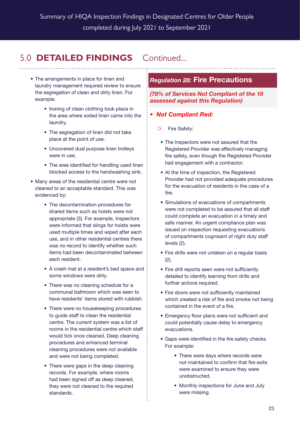- The arrangements in place for linen and laundry management required review to ensure the segregation of clean and dirty linen. For example:
	- Ironing of clean clothing took place in the area where soiled linen came into the laundry.
	- The segregation of linen did not take place at the point of use.
	- Uncovered dual purpose linen trolleys were in use.
	- The area identified for handling used linen blocked access to the handwashing sink.
- Many areas of the residential centre were not cleaned to an acceptable standard. This was evidenced by:
	- The decontamination procedures for shared items such as hoists were not appropriate (3). For example, Inspectors were informed that slings for hoists were used multiple times and wiped after each use, and in other residential centres there was no record to identify whether such items had been decontaminated between each resident.
	- A crash mat at a resident's bed space and some windows were dirty.
	- There was no cleaning schedule for a communal bathroom which was seen to have residents' items stored with rubbish.
	- There were no housekeeping procedures to guide staff to clean the residential centre. The current system was a list of rooms in the residential centre which staff would tick once cleaned. Deep cleaning procedures and enhanced terminal cleaning procedures were not available and were not being completed.
	- There were gaps in the deep cleaning records. For example, where rooms had been signed off as deep cleaned, they were not cleaned to the required standards.

š

# *Regulation 28:* Fire Precautions

# *(78% of Services Not Compliant of the 18 assessed against this Regulation)*

# *• Not Compliant Red:*

- O Fire Safety:
	- The Inspectors were not assured that the Registered Provider was effectively managing fire safety, even though the Registered Provider had engagement with a contractor.
	- At the time of inspection, the Registered Provider had not provided adequate procedures for the evacuation of residents in the case of a fire.
	- Simulations of evacuations of compartments were not completed to be assured that all staff could complete an evacuation in a timely and safe manner. An urgent compliance plan was issued on inspection requesting evacuations of compartments cognisant of night duty staff levels (2).
	- Fire drills were not untaken on a regular basis (2).
	- Fire drill reports seen were not sufficiently detailed to identify learning from drills and further actions required.
	- Fire doors were not sufficiently maintained which created a risk of fire and smoke not being contained in the event of a fire.
	- Emergency floor plans were not sufficient and could potentially cause delay to emergency evacuations.
	- Gaps were identified in the fire safety checks. For example:
		- There were days where records were not maintained to confirm that fire exits were examined to ensure they were unobstructed.
		- Monthly inspections for June and July were missing.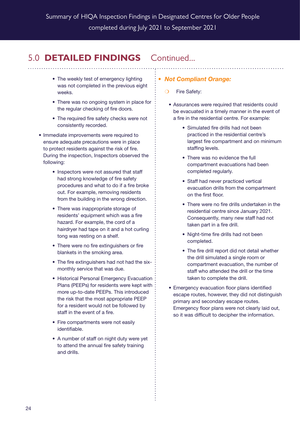- The weekly test of emergency lighting was not completed in the previous eight weeks.
- There was no ongoing system in place for the regular checking of fire doors.
- The required fire safety checks were not consistently recorded.
- Immediate improvements were required to ensure adequate precautions were in place to protect residents against the risk of fire. During the inspection, Inspectors observed the following:
	- Inspectors were not assured that staff had strong knowledge of fire safety procedures and what to do if a fire broke out. For example, removing residents from the building in the wrong direction.
	- There was inappropriate storage of residents' equipment which was a fire hazard. For example, the cord of a hairdryer had tape on it and a hot curling tong was resting on a shelf.
	- There were no fire extinguishers or fire blankets in the smoking area.
	- The fire extinguishers had not had the sixmonthly service that was due.
	- Historical Personal Emergency Evacuation Plans (PEEPs) for residents were kept with more up-to-date PEEPs. This introduced the risk that the most appropriate PEEP for a resident would not be followed by staff in the event of a fire.
	- Fire compartments were not easily identifiable.
	- A number of staff on night duty were yet to attend the annual fire safety training and drills.

# *• Not Compliant Orange:*

- O Fire Safety:
	- Assurances were required that residents could be evacuated in a timely manner in the event of a fire in the residential centre. For example:
		- Simulated fire drills had not been practiced in the residential centre's largest fire compartment and on minimum staffing levels.
		- There was no evidence the full compartment evacuations had been completed regularly.
		- Staff had never practiced vertical evacuation drills from the compartment on the first floor.
		- There were no fire drills undertaken in the residential centre since January 2021. Consequently, many new staff had not taken part in a fire drill.
		- Night-time fire drills had not been completed.
		- The fire drill report did not detail whether the drill simulated a single room or compartment evacuation, the number of staff who attended the drill or the time taken to complete the drill.
	- Emergency evacuation floor plans identified escape routes, however, they did not distinguish primary and secondary escape routes. Emergency floor plans were not clearly laid out, so it was difficult to decipher the information.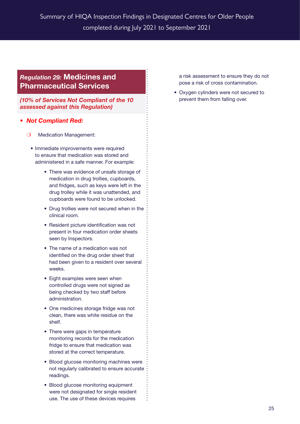# *Regulation 29:* Medicines and Pharmaceutical Services

*(10% of Services Not Compliant of the 10 assessed against this Regulation)*

- *• Not Compliant Red:*
	- O Medication Management:
		- Immediate improvements were required to ensure that medication was stored and administered in a safe manner. For example:
			- There was evidence of unsafe storage of medication in drug trollies, cupboards, and fridges, such as keys were left in the drug trolley while it was unattended, and cupboards were found to be unlocked.
			- Drug trollies were not secured when in the clinical room.
			- Resident picture identification was not present in four medication order sheets seen by Inspectors.
			- The name of a medication was not identified on the drug order sheet that had been given to a resident over several weeks.
			- Eight examples were seen when controlled drugs were not signed as being checked by two staff before administration.
			- One medicines storage fridge was not clean, there was white residue on the shelf.
			- There were gaps in temperature monitoring records for the medication fridge to ensure that medication was stored at the correct temperature.
			- Blood glucose monitoring machines were not regularly calibrated to ensure accurate readings.
			- Blood glucose monitoring equipment were not designated for single resident use. The use of these devices requires

š

a risk assessment to ensure they do not pose a risk of cross contamination.

• Oxygen cylinders were not secured to prevent them from falling over.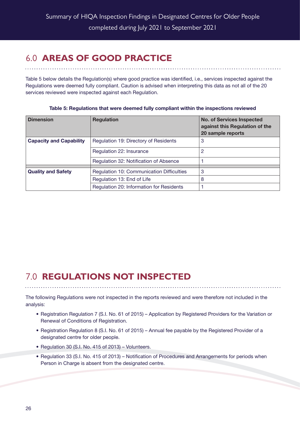# 6.0 **AREAS OF GOOD PRACTICE**

Table 5 below details the Regulation(s) where good practice was identified, i.e., services inspected against the Regulations were deemed fully compliant. Caution is advised when interpreting this data as not all of the 20 services reviewed were inspected against each Regulation.

| <b>Dimension</b>               | <b>Regulation</b>                         | <b>No. of Services Inspected</b><br>against this Regulation of the<br>20 sample reports |
|--------------------------------|-------------------------------------------|-----------------------------------------------------------------------------------------|
| <b>Capacity and Capability</b> | Regulation 19: Directory of Residents     | 3                                                                                       |
|                                | Regulation 22: Insurance                  | 2                                                                                       |
|                                | Regulation 32: Notification of Absence    |                                                                                         |
| <b>Quality and Safety</b>      | Regulation 10: Communication Difficulties | 3                                                                                       |
|                                | Regulation 13: End of Life                | 8                                                                                       |
|                                | Regulation 20: Information for Residents  |                                                                                         |

Table 5: Regulations that were deemed fully compliant within the inspections reviewed

# 7.0 **REGULATIONS NOT INSPECTED**

The following Regulations were not inspected in the reports reviewed and were therefore not included in the analysis:

- Registration Regulation 7 (S.I. No. 61 of 2015) Application by Registered Providers for the Variation or Renewal of Conditions of Registration.
- Registration Regulation 8 (S.I. No. 61 of 2015) Annual fee payable by the Registered Provider of a designated centre for older people.
- Regulation 30 (S.I. No. 415 of 2013) Volunteers.
- Regulation 33 (S.I. No. 415 of 2013) Notification of Procedures and Arrangements for periods when Person in Charge is absent from the designated centre.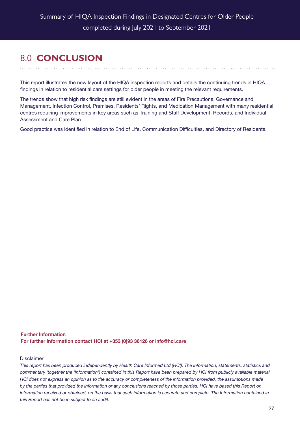# 8.0 **CONCLUSION**

This report illustrates the new layout of the HIQA inspection reports and details the continuing trends in HIQA findings in relation to residential care settings for older people in meeting the relevant requirements.

The trends show that high risk findings are still evident in the areas of Fire Precautions, Governance and Management, Infection Control, Premises, Residents' Rights, and Medication Management with many residential centres requiring improvements in key areas such as Training and Staff Development, Records, and Individual Assessment and Care Plan.

Good practice was identified in relation to End of Life, Communication Difficulties, and Directory of Residents.

# Further Information For further information contact HCI at +353 (0)93 36126 or info@hci.care

# Disclaimer

*This report has been produced independently by Health Care Informed Ltd (HCI). The information, statements, statistics and commentary (together the 'Information') contained in this Report have been prepared by HCI from publicly available material. HCI does not express an opinion as to the accuracy or completeness of the information provided, the assumptions made by the parties that provided the information or any conclusions reached by those parties. HCI have based this Report on*  information received or obtained, on the basis that such information is accurate and complete. The Information contained in *this Report has not been subject to an audit.*